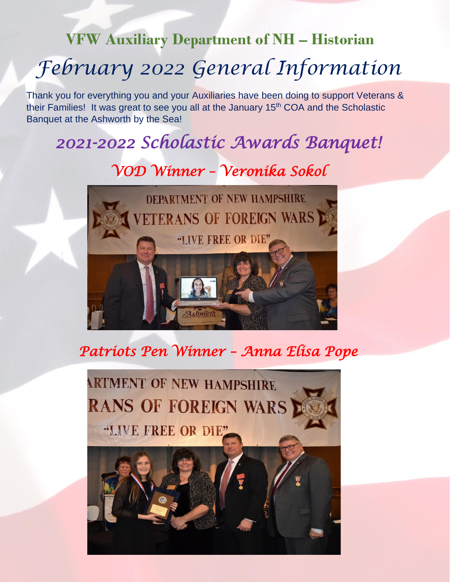## **VFW Auxiliary Department of NH – Historian**

# *February 2022 General Information*

Thank you for everything you and your Auxiliaries have been doing to support Veterans & their Families! It was great to see you all at the January 15<sup>th</sup> COA and the Scholastic Banquet at the Ashworth by the Sea!

## *2021-2022 Scholastic Awards Banquet!*

*VOD Winner – Veronika Sokol* 



#### *Patriots Pen Winner – Anna Elisa Pope*

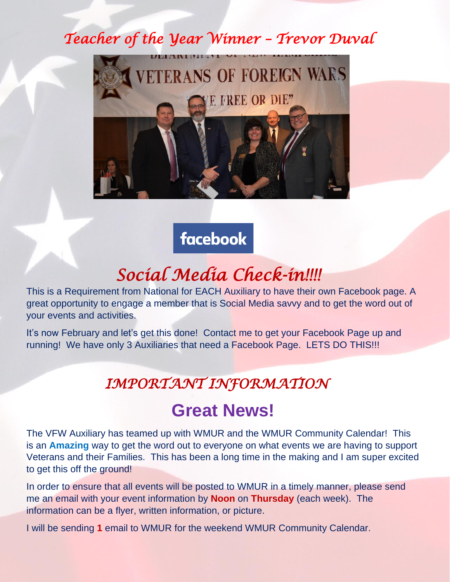## *Teacher of the Year Winner – Trevor Duval*



facebook

## *Social Media Check-in!!!!*

This is a Requirement from National for EACH Auxiliary to have their own Facebook page. A great opportunity to engage a member that is Social Media savvy and to get the word out of your events and activities.

It's now February and let's get this done! Contact me to get your Facebook Page up and running! We have only 3 Auxiliaries that need a Facebook Page. LETS DO THIS!!!

#### *IMPORTANT INFORMATION*

### **Great News!**

The VFW Auxiliary has teamed up with WMUR and the WMUR Community Calendar! This is an **Amazing** way to get the word out to everyone on what events we are having to support Veterans and their Families. This has been a long time in the making and I am super excited to get this off the ground!

In order to ensure that all events will be posted to WMUR in a timely manner, please send me an email with your event information by **Noon** on **Thursday** (each week). The information can be a flyer, written information, or picture.

I will be sending **1** email to WMUR for the weekend WMUR Community Calendar.